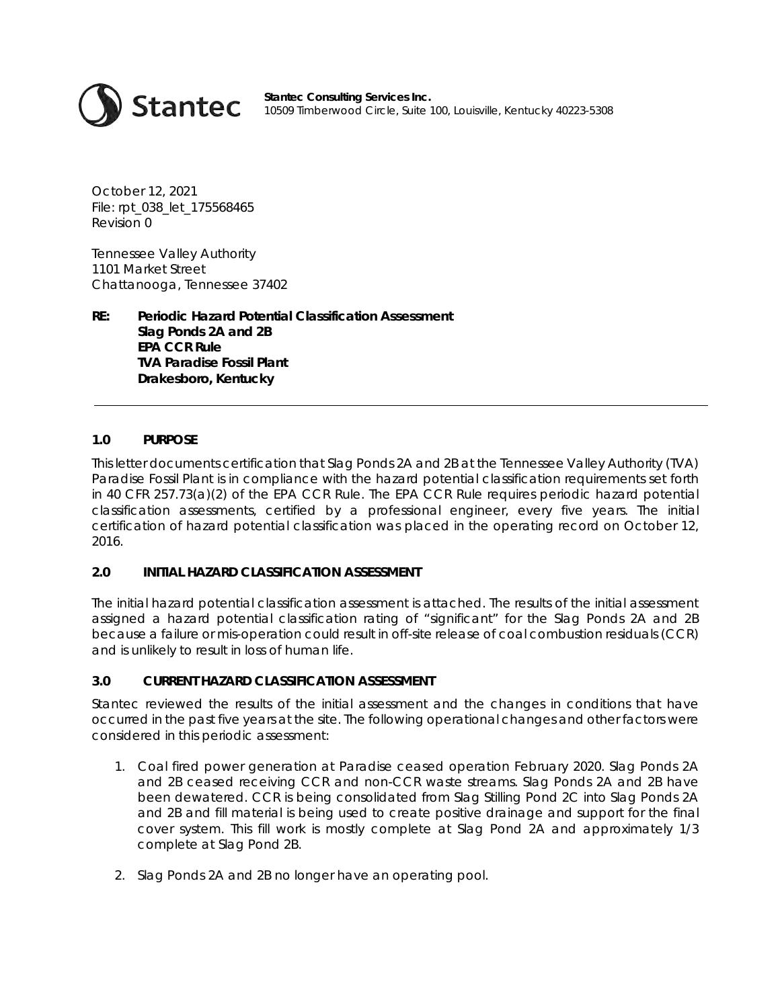

**Stantec Consulting Services Inc.** 10509 Timberwood Circle, Suite 100, Louisville, Kentucky 40223-5308

October 12, 2021 File: rpt\_038\_let\_175568465 Revision 0

Tennessee Valley Authority 1101 Market Street Chattanooga, Tennessee 37402

**RE: Periodic Hazard Potential Classification Assessment Slag Ponds 2A and 2B EPA CCR Rule TVA Paradise Fossil Plant Drakesboro, Kentucky** 

### **1.0 PURPOSE**

This letter documents certification that Slag Ponds 2A and 2B at the Tennessee Valley Authority (TVA) Paradise Fossil Plant is in compliance with the hazard potential classification requirements set forth in 40 CFR 257.73(a)(2) of the EPA CCR Rule. The EPA CCR Rule requires periodic hazard potential classification assessments, certified by a professional engineer, every five years. The initial certification of hazard potential classification was placed in the operating record on October 12, 2016.

### **2.0 INITIAL HAZARD CLASSIFICATION ASSESSMENT**

The initial hazard potential classification assessment is attached. The results of the initial assessment assigned a hazard potential classification rating of "significant" for the Slag Ponds 2A and 2B because a failure or mis-operation could result in off-site release of coal combustion residuals (CCR) and is unlikely to result in loss of human life.

### **3.0 CURRENT HAZARD CLASSIFICATION ASSESSMENT**

Stantec reviewed the results of the initial assessment and the changes in conditions that have occurred in the past five years at the site. The following operational changes and other factors were considered in this periodic assessment:

- 1. Coal fired power generation at Paradise ceased operation February 2020. Slag Ponds 2A and 2B ceased receiving CCR and non-CCR waste streams. Slag Ponds 2A and 2B have been dewatered. CCR is being consolidated from Slag Stilling Pond 2C into Slag Ponds 2A and 2B and fill material is being used to create positive drainage and support for the final cover system. This fill work is mostly complete at Slag Pond 2A and approximately 1/3 complete at Slag Pond 2B.
- 2. Slag Ponds 2A and 2B no longer have an operating pool.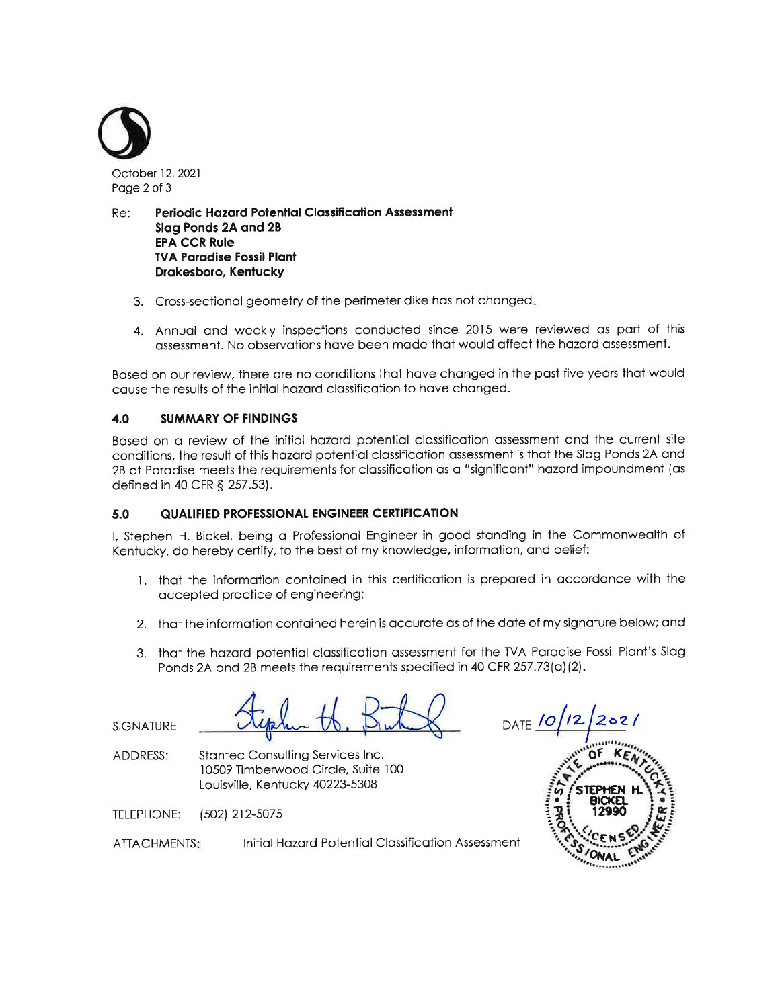

October 12, 2021 Page 2 of 3

- **Periodic Hazard Potential Classification Assessment** Re: Slaa Ponds 2A and 2B **EPA CCR Rule TVA Paradise Fossil Plant** Drakesboro, Kentucky
	- 3. Cross-sectional geometry of the perimeter dike has not changed.
	- 4. Annual and weekly inspections conducted since 2015 were reviewed as part of this assessment. No observations have been made that would affect the hazard assessment.

Based on our review, there are no conditions that have changed in the past five years that would cause the results of the initial hazard classification to have changed.

#### 4.0 **SUMMARY OF FINDINGS**

Based on a review of the initial hazard potential classification assessment and the current site conditions, the result of this hazard potential classification assessment is that the Slag Ponds 2A and 2B at Paradise meets the requirements for classification as a "significant" hazard impoundment (as defined in 40 CFR § 257.53).

#### **QUALIFIED PROFESSIONAL ENGINEER CERTIFICATION**  $5.0$

I, Stephen H. Bickel, being a Professional Engineer in good standing in the Commonwealth of Kentucky, do hereby certify, to the best of my knowledge, information, and belief:

- 1. that the information contained in this certification is prepared in accordance with the accepted practice of engineering;
- 2. that the information contained herein is accurate as of the date of my signature below; and
- 3. that the hazard potential classification assessment for the TVA Paradise Fossil Plant's Slag Ponds 2A and 2B meets the requirements specified in 40 CFR 257.73(a)(2).

**SIGNATURE** 

Stantec Consulting Services Inc. ADDRESS: 10509 Timberwood Circle, Suite 100 Louisville, Kentucky 40223-5308

TELEPHONE: (502) 212-5075

**ATTACHMENTS:** Initial Hazard Potential Classification Assessment



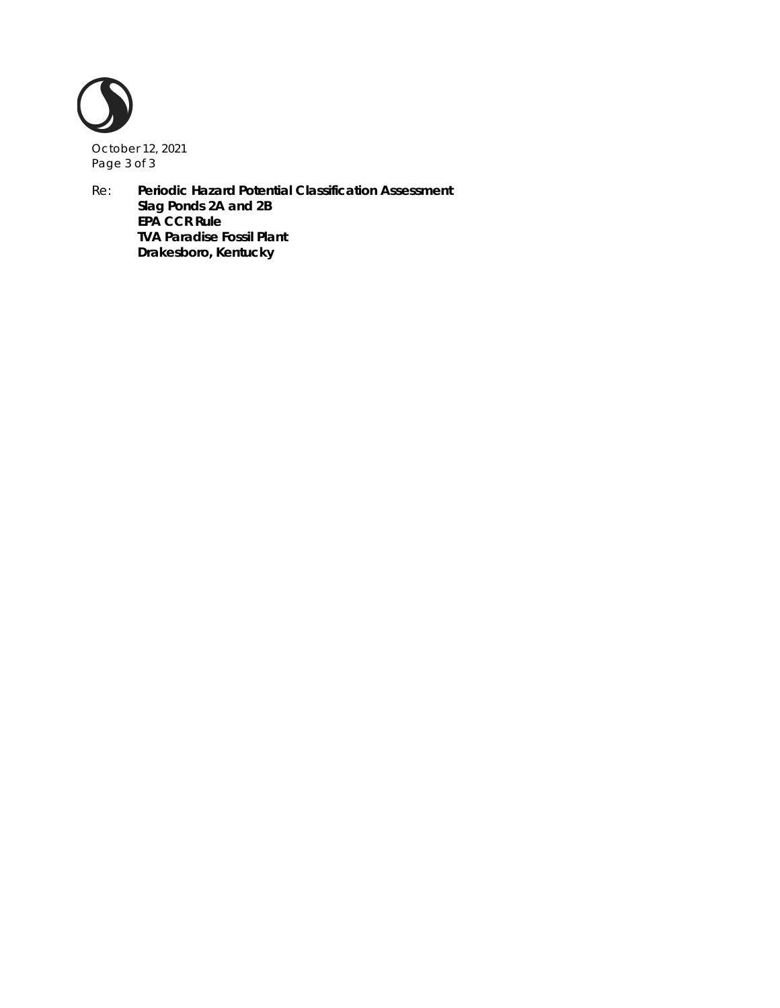

Re: **Periodic Hazard Potential Classification Assessment Slag Ponds 2A and 2B EPA CCR Rule TVA Paradise Fossil Plant Drakesboro, Kentucky**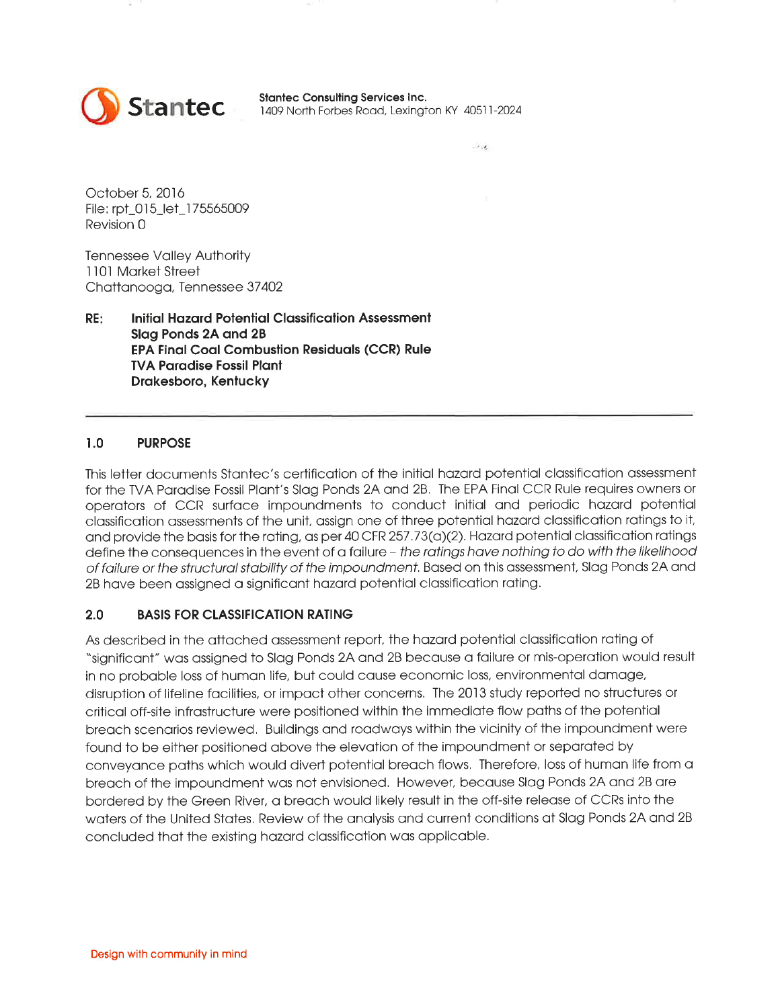

**Stantec Consulting Services Inc.** 1409 North Forbes Road, Lexington KY 40511-2024

 $\mathcal{F}_{\mathcal{A}}(\mathbf{r})$ 

October 5, 2016 File: rpt\_015\_let\_175565009 Revision 0

**Tennessee Valley Authority** 1101 Market Street Chattanooga, Tennessee 37402

**Initial Hazard Potential Classification Assessment**  $RE:$ Slag Ponds 2A and 2B **EPA Final Coal Combustion Residuals (CCR) Rule TVA Paradise Fossil Plant** Drakesboro, Kentucky

#### $1.0$ **PURPOSE**

This letter documents Stantec's certification of the initial hazard potential classification assessment for the TVA Paradise Fossil Plant's Slag Ponds 2A and 2B. The EPA Final CCR Rule requires owners or operators of CCR surface impoundments to conduct initial and periodic hazard potential classification assessments of the unit, assign one of three potential hazard classification ratings to it, and provide the basis for the rating, as per 40 CFR  $257.73(a)(2)$ . Hazard potential classification ratings define the consequences in the event of a failure - the ratings have nothing to do with the likelihood of failure or the structural stability of the impoundment. Based on this assessment, Slag Ponds 2A and 2B have been assigned a significant hazard potential classification rating.

#### **BASIS FOR CLASSIFICATION RATING**  $2.0$

As described in the attached assessment report, the hazard potential classification rating of "significant" was assigned to Slag Ponds 2A and 2B because a failure or mis-operation would result in no probable loss of human life, but could cause economic loss, environmental damage, disruption of lifeline facilities, or impact other concerns. The 2013 study reported no structures or critical off-site infrastructure were positioned within the immediate flow paths of the potential breach scenarios reviewed. Buildings and roadways within the vicinity of the impoundment were found to be either positioned above the elevation of the impoundment or separated by conveyance paths which would divert potential breach flows. Therefore, loss of human life from a breach of the impoundment was not envisioned. However, because Slag Ponds 2A and 2B are bordered by the Green River, a breach would likely result in the off-site release of CCRs into the waters of the United States. Review of the analysis and current conditions at Slag Ponds 2A and 2B concluded that the existing hazard classification was applicable.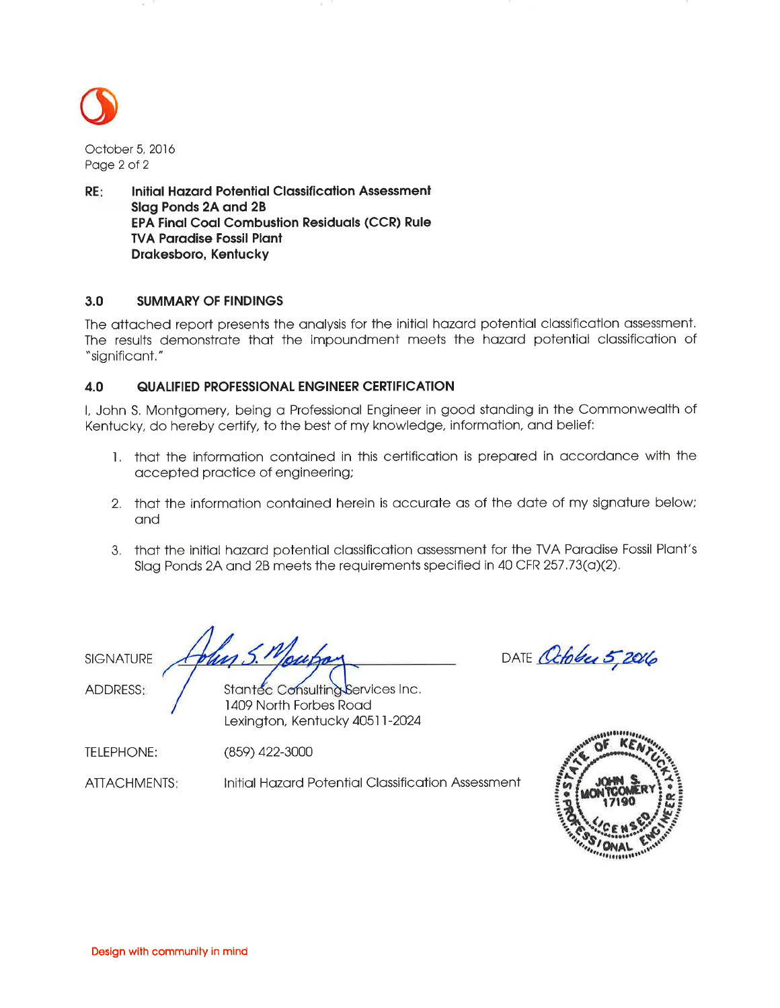

October 5, 2016 Page 2 of 2

RE: **Initial Hazard Potential Classification Assessment** Slaa Ponds 2A and 2B **EPA Final Coal Combustion Residuals (CCR) Rule TVA Paradise Fossil Plant** Drakesboro, Kentucky

#### $3.0$ **SUMMARY OF FINDINGS**

The attached report presents the analysis for the initial hazard potential classification assessment. The results demonstrate that the impoundment meets the hazard potential classification of "significant."

#### $4.0$ QUALIFIED PROFESSIONAL ENGINEER CERTIFICATION

I, John S. Montgomery, being a Professional Engineer in good standing in the Commonwealth of Kentucky, do hereby certify, to the best of my knowledge, information, and belief:

- 1. that the information contained in this certification is prepared in accordance with the accepted practice of engineering;
- 2. that the information contained herein is accurate as of the date of my signature below; and
- 3. that the initial hazard potential classification assessment for the TVA Paradise Fossil Plant's Slag Ponds 2A and 2B meets the requirements specified in 40 CFR 257.73(a)(2).

**SIGNATURE** 

**ADDRESS:** 

ley S. Moutro Stantec Consulting Services Inc.

DATE October 5,2016

1409 North Forbes Road Lexington, Kentucky 40511-2024

(859) 422-3000 **TELEPHONE:** 

ATTACHMENTS: **Initial Hazard Potential Classification Assessment** 

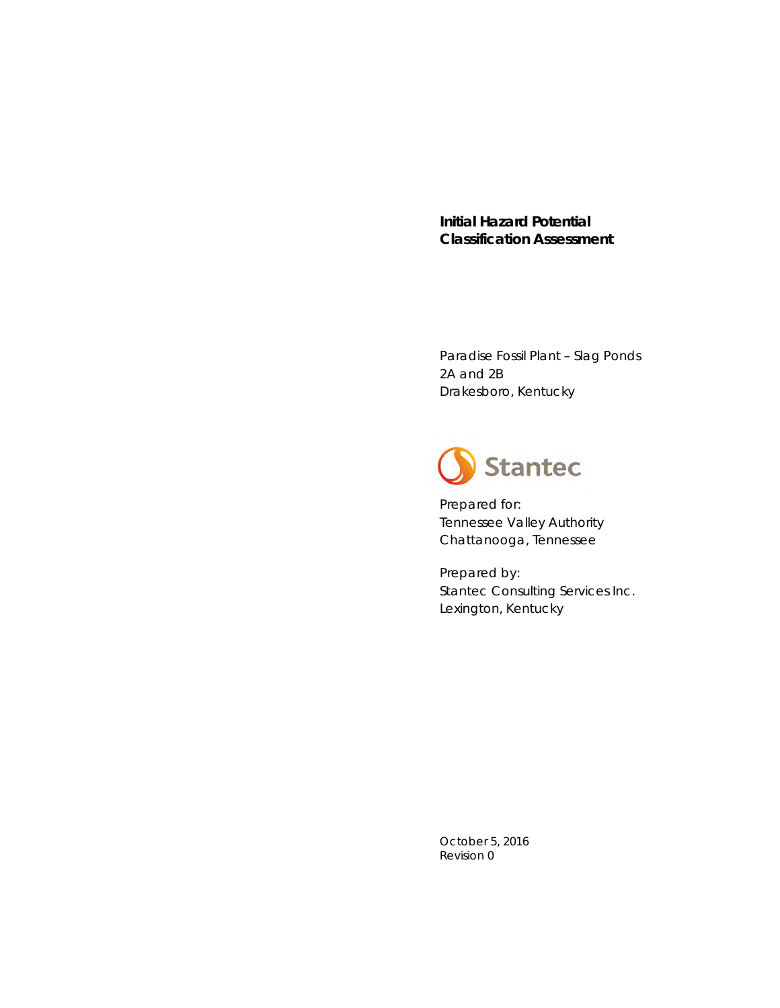### **Initial Hazard Potential Classification Assessment**

Paradise Fossil Plant – Slag Ponds 2A and 2B Drakesboro, Kentucky



Prepared for: Tennessee Valley Authority Chattanooga, Tennessee

Prepared by: Stantec Consulting Services Inc. Lexington, Kentucky

October 5, 2016 Revision 0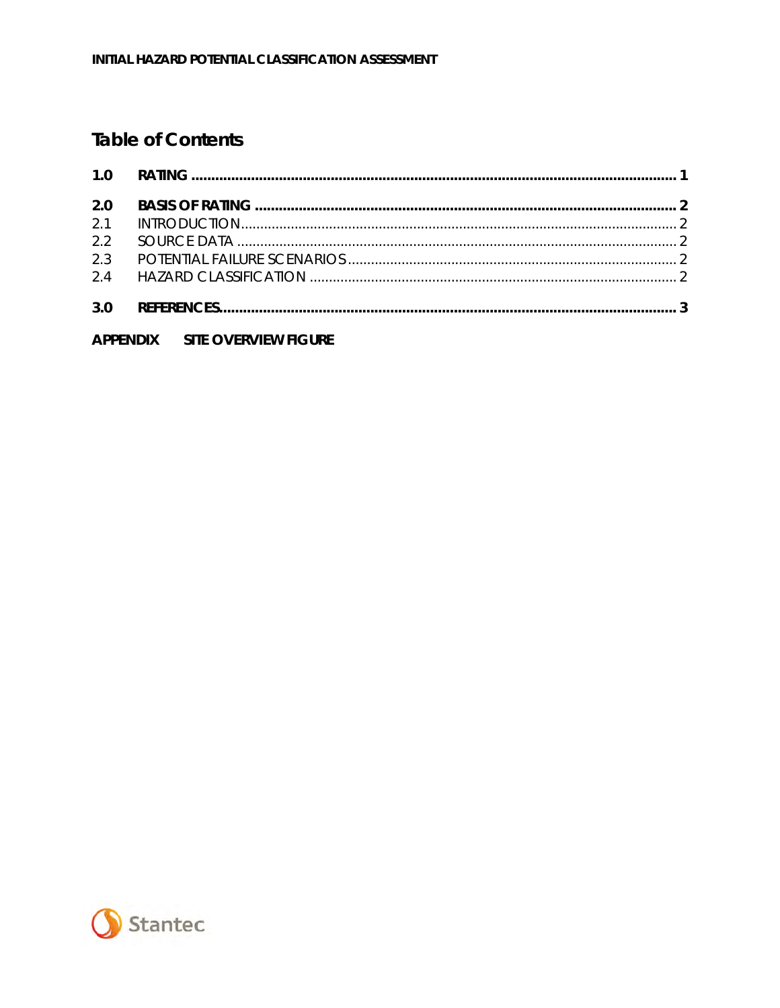## **Table of Contents**

| 2.0 |  |
|-----|--|
| 2.1 |  |
| 2.2 |  |
| 2.3 |  |
|     |  |
| 3.0 |  |
|     |  |

APPENDIX SITE OVERVIEW FIGURE

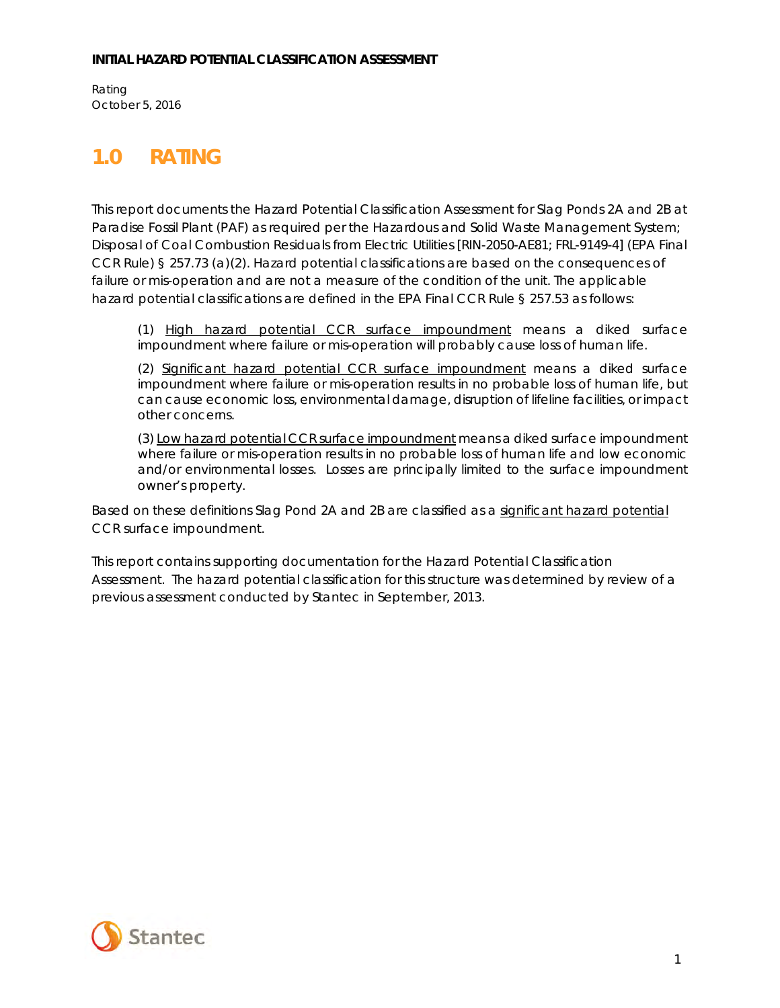Rating October 5, 2016

## <span id="page-8-0"></span>**1.0 RATING**

This report documents the Hazard Potential Classification Assessment for Slag Ponds 2A and 2B at Paradise Fossil Plant (PAF) as required per the Hazardous and Solid Waste Management System; Disposal of Coal Combustion Residuals from Electric Utilities [RIN-2050-AE81; FRL-9149-4] (EPA Final CCR Rule) § 257.73 (a)(2). Hazard potential classifications are based on the consequences of failure or mis-operation and are not a measure of the condition of the unit. The applicable hazard potential classifications are defined in the EPA Final CCR Rule § 257.53 as follows:

(1) High hazard potential CCR surface impoundment means a diked surface impoundment where failure or mis-operation will probably cause loss of human life.

(2) Significant hazard potential CCR surface impoundment means a diked surface impoundment where failure or mis-operation results in no probable loss of human life, but can cause economic loss, environmental damage, disruption of lifeline facilities, or impact other concerns.

(3) Low hazard potential CCR surface impoundment means a diked surface impoundment where failure or mis-operation results in no probable loss of human life and low economic and/or environmental losses. Losses are principally limited to the surface impoundment owner's property.

Based on these definitions Slag Pond 2A and 2B are classified as a significant hazard potential CCR surface impoundment.

This report contains supporting documentation for the Hazard Potential Classification Assessment. The hazard potential classification for this structure was determined by review of a previous assessment conducted by Stantec in September, 2013.

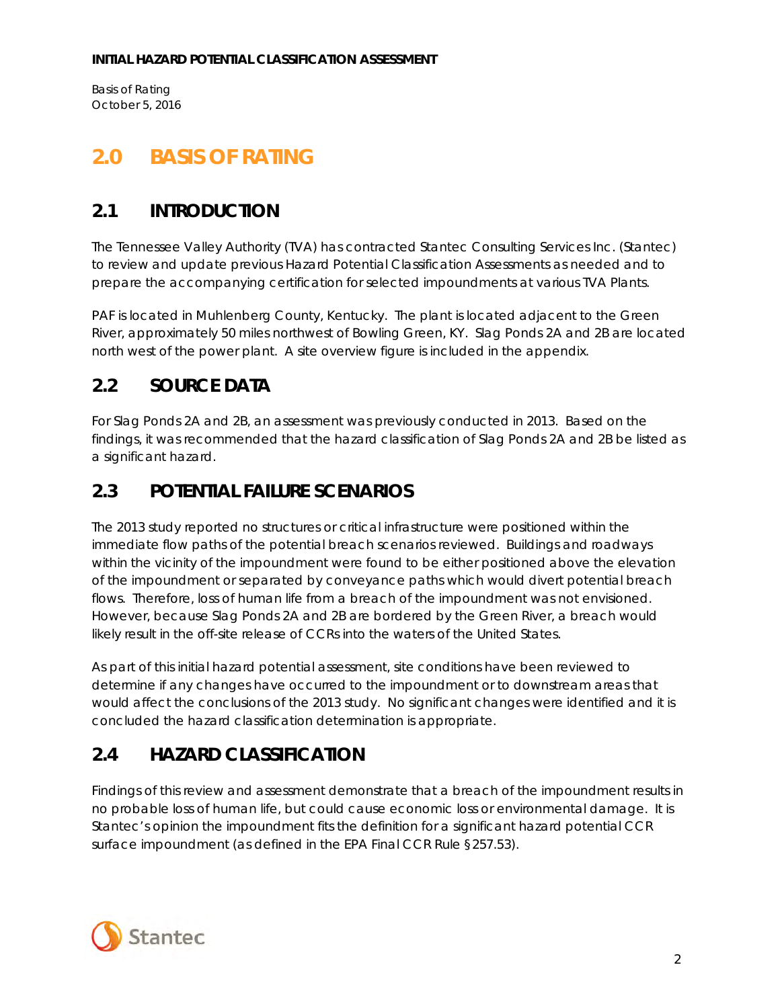Basis of Rating October 5, 2016

## <span id="page-9-0"></span>**2.0 BASIS OF RATING**

## <span id="page-9-1"></span>**2.1 INTRODUCTION**

The Tennessee Valley Authority (TVA) has contracted Stantec Consulting Services Inc. (Stantec) to review and update previous Hazard Potential Classification Assessments as needed and to prepare the accompanying certification for selected impoundments at various TVA Plants.

PAF is located in Muhlenberg County, Kentucky. The plant is located adjacent to the Green River, approximately 50 miles northwest of Bowling Green, KY. Slag Ponds 2A and 2B are located north west of the power plant. A site overview figure is included in the appendix.

## <span id="page-9-2"></span>**2.2 SOURCE DATA**

For Slag Ponds 2A and 2B, an assessment was previously conducted in 2013. Based on the findings, it was recommended that the hazard classification of Slag Ponds 2A and 2B be listed as a significant hazard.

## <span id="page-9-3"></span>**2.3 POTENTIAL FAILURE SCENARIOS**

The 2013 study reported no structures or critical infrastructure were positioned within the immediate flow paths of the potential breach scenarios reviewed. Buildings and roadways within the vicinity of the impoundment were found to be either positioned above the elevation of the impoundment or separated by conveyance paths which would divert potential breach flows. Therefore, loss of human life from a breach of the impoundment was not envisioned. However, because Slag Ponds 2A and 2B are bordered by the Green River, a breach would likely result in the off-site release of CCRs into the waters of the United States.

As part of this initial hazard potential assessment, site conditions have been reviewed to determine if any changes have occurred to the impoundment or to downstream areas that would affect the conclusions of the 2013 study. No significant changes were identified and it is concluded the hazard classification determination is appropriate.

## <span id="page-9-4"></span>**2.4 HAZARD CLASSIFICATION**

Findings of this review and assessment demonstrate that a breach of the impoundment results in no probable loss of human life, but could cause economic loss or environmental damage. It is Stantec's opinion the impoundment fits the definition for a significant hazard potential CCR surface impoundment (as defined in the EPA Final CCR Rule §257.53).

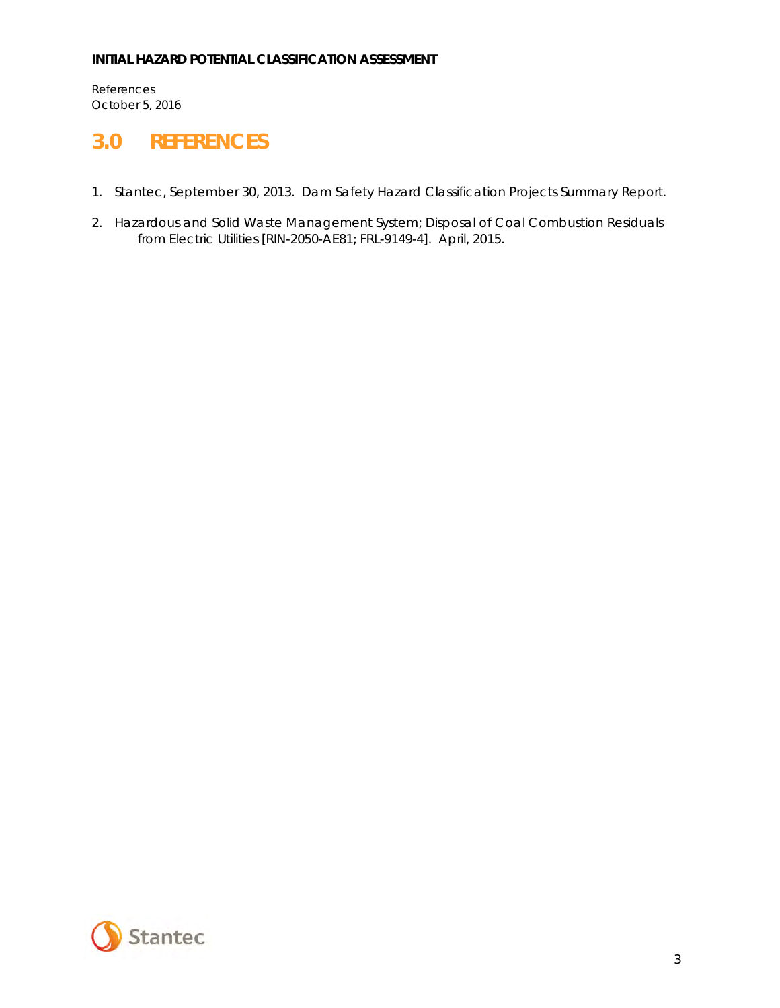References October 5, 2016

## <span id="page-10-0"></span>**3.0 REFERENCES**

- 1. Stantec, September 30, 2013. Dam Safety Hazard Classification Projects Summary Report.
- 2. Hazardous and Solid Waste Management System; Disposal of Coal Combustion Residuals from Electric Utilities [RIN-2050-AE81; FRL-9149-4]. April, 2015.

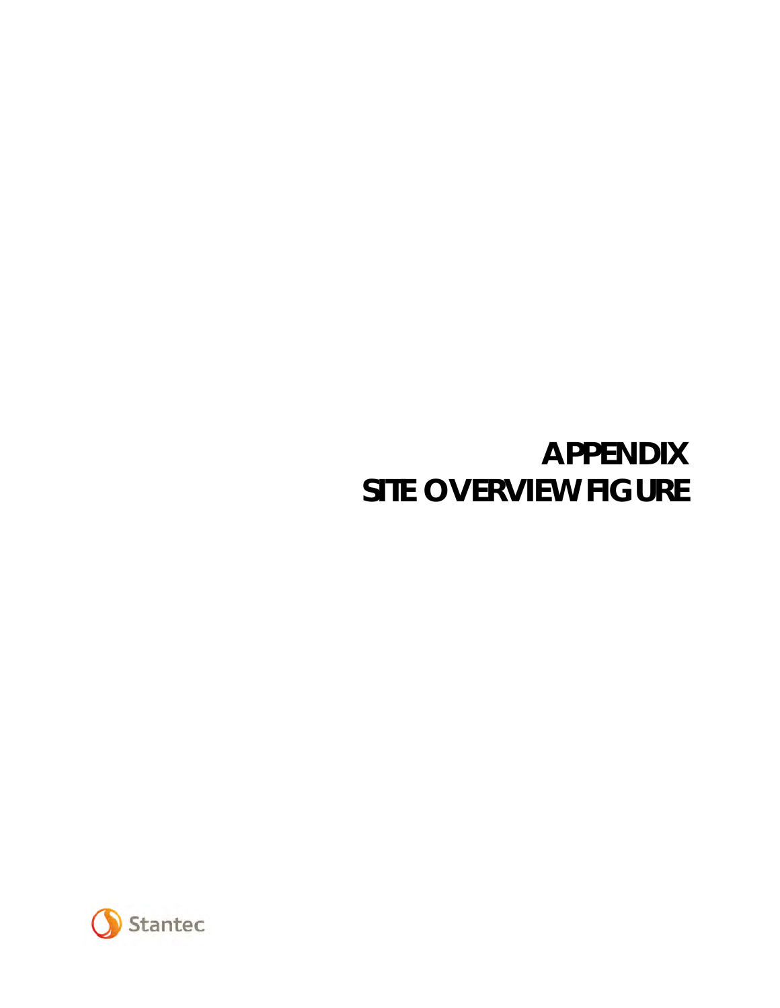# **APPENDIX SITE OVERVIEW FIGURE**